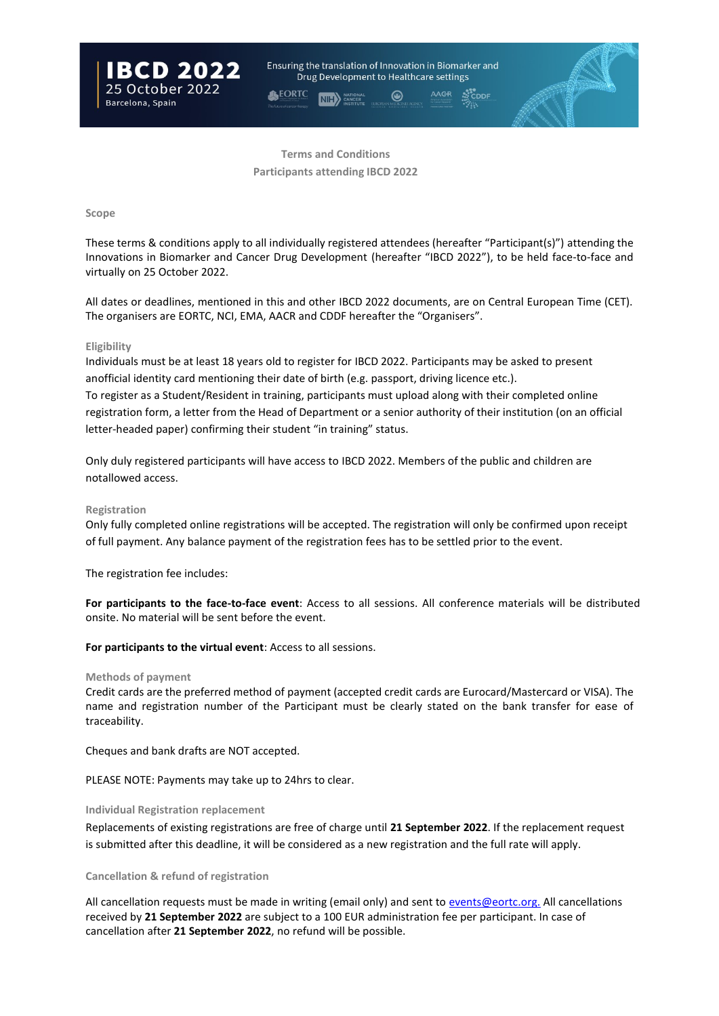

**Terms and Conditions Participants attending IBCD 2022**

# **Scope**

These terms & conditions apply to all individually registered attendees (hereafter "Participant(s)") attending the Innovations in Biomarker and Cancer Drug Development (hereafter "IBCD 2022"), to be held face-to-face and virtually on 25 October 2022.

All dates or deadlines, mentioned in this and other IBCD 2022 documents, are on Central European Time (CET). The organisers are EORTC, NCI, EMA, AACR and CDDF hereafter the "Organisers".

# **Eligibility**

Individuals must be at least 18 years old to register for IBCD 2022. Participants may be asked to present anofficial identity card mentioning their date of birth (e.g. passport, driving licence etc.). To register as a Student/Resident in training, participants must upload along with their completed online registration form, a letter from the Head of Department or a senior authority of their institution (on an official letter-headed paper) confirming their student "in training" status.

Only duly registered participants will have access to IBCD 2022. Members of the public and children are notallowed access.

# **Registration**

Only fully completed online registrations will be accepted. The registration will only be confirmed upon receipt of full payment. Any balance payment of the registration fees has to be settled prior to the event.

The registration fee includes:

**For participants to the face-to-face event**: Access to all sessions. All conference materials will be distributed onsite. No material will be sent before the event.

**For participants to the virtual event**: Access to all sessions.

#### **Methods of payment**

Credit cards are the preferred method of payment (accepted credit cards are Eurocard/Mastercard or VISA). The name and registration number of the Participant must be clearly stated on the bank transfer for ease of traceability.

Cheques and bank drafts are NOT accepted.

PLEASE NOTE: Payments may take up to 24hrs to clear.

## **Individual Registration replacement**

Replacements of existing registrations are free of charge until **21 September 2022**. If the replacement request is submitted after this deadline, it will be considered as a new registration and the full rate will apply.

## **Cancellation & refund of registration**

All cancellation requests must be made in writing (email only) and sent to [events@eortc.org.](mailto:events@eortc.org.) All cancellations received by **21 September 2022** are subject to a 100 EUR administration fee per participant. In case of cancellation after **21 September 2022**, no refund will be possible.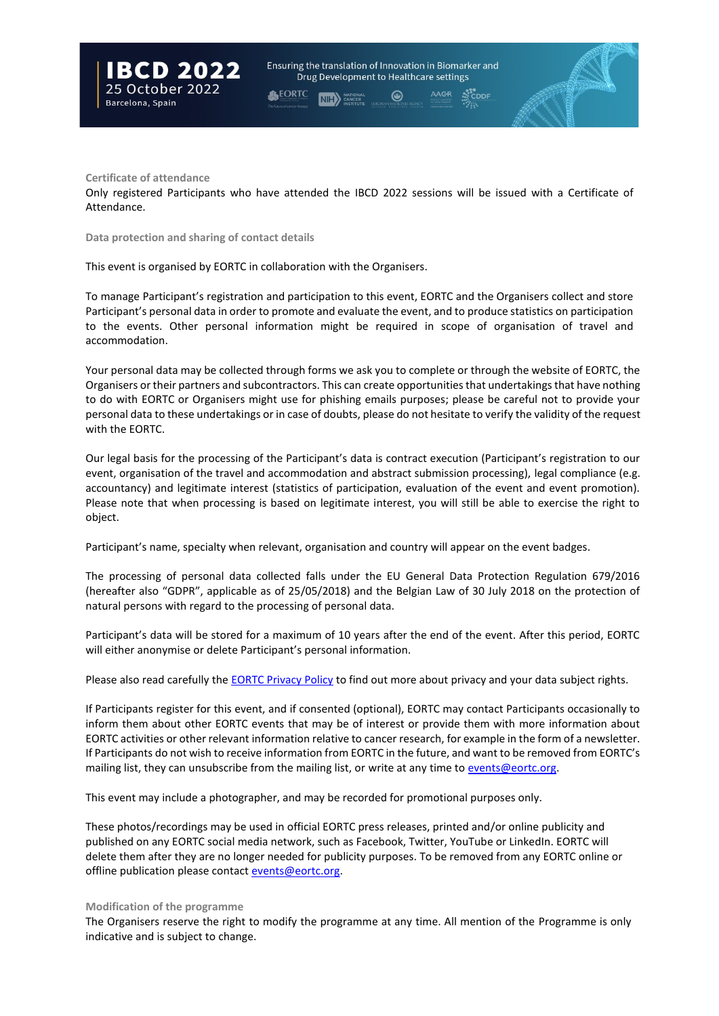

**Certificate of attendance**

Only registered Participants who have attended the IBCD 2022 sessions will be issued with a Certificate of Attendance.

**Data protection and sharing of contact details**

This event is organised by EORTC in collaboration with the Organisers.

To manage Participant's registration and participation to this event, EORTC and the Organisers collect and store Participant's personal data in order to promote and evaluate the event, and to produce statistics on participation to the events. Other personal information might be required in scope of organisation of travel and accommodation.

Your personal data may be collected through forms we ask you to complete or through the website of EORTC, the Organisers or their partners and subcontractors. This can create opportunities that undertakings that have nothing to do with EORTC or Organisers might use for phishing emails purposes; please be careful not to provide your personal data to these undertakings or in case of doubts, please do not hesitate to verify the validity of the request with the EORTC.

Our legal basis for the processing of the Participant's data is contract execution (Participant's registration to our event, organisation of the travel and accommodation and abstract submission processing), legal compliance (e.g. accountancy) and legitimate interest (statistics of participation, evaluation of the event and event promotion). Please note that when processing is based on legitimate interest, you will still be able to exercise the right to object.

Participant's name, specialty when relevant, organisation and country will appear on the event badges.

The processing of personal data collected falls under the EU General Data Protection Regulation 679/2016 (hereafter also "GDPR", applicable as of 25/05/2018) and the Belgian Law of 30 July 2018 on the protection of natural persons with regard to the processing of personal data.

Participant's data will be stored for a maximum of 10 years after the end of the event. After this period, EORTC will either anonymise or delete Participant's personal information.

Please also read carefully the **EORTC Privacy Policy** to find out more about privacy and your data subject rights.

If Participants register for this event, and if consented (optional), EORTC may contact Participants occasionally to inform them about other EORTC events that may be of interest or provide them with more information about EORTC activities or other relevant information relative to cancer research, for example in the form of a newsletter. If Participants do not wish to receive information from EORTC in the future, and want to be removed from EORTC's mailing list, they can unsubscribe from the mailing list, or write at any time t[o events@eortc.org.](mailto:events@eortc.org)

This event may include a photographer, and may be recorded for promotional purposes only.

These photos/recordings may be used in official EORTC press releases, printed and/or online publicity and published on any EORTC social media network, such as Facebook, Twitter, YouTube or LinkedIn. EORTC will delete them after they are no longer needed for publicity purposes. To be removed from any EORTC online or offline publication please contac[t events@eortc.org.](mailto:events@eortc.org)

#### **Modification of the programme**

The Organisers reserve the right to modify the programme at any time. All mention of the Programme is only indicative and is subject to change.